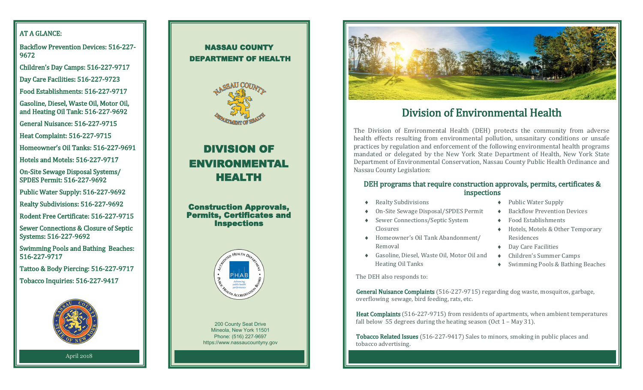## AT A GLANCE:

Backflow Prevention Devices: 516-227- 9672

Children's Day Camps: 516-227-9717

Day Care Facilities: 516-227-9723

Food Establishments: 516-227-9717

Gasoline, Diesel, Waste Oil, Motor Oil, and Heating Oil Tank: 516-227-9692

General Nuisance: 516-227-9715

Heat Complaint: 516-227-9715

Homeowner's Oil Tanks: 516-227-9691

Hotels and Motels: 516-227-9717

On-Site Sewage Disposal Systems/ SPDES Permit: 516-227-9692

Public Water Supply: 516-227-9692

Realty Subdivisions: 516-227-9692

Rodent Free Certificate: 516-227-9715

Sewer Connections & Closure of Septic Systems: 516-227-9692

Swimming Pools and Bathing Beaches: 516-227-9717

Tattoo & Body Piercing: 516-227-9717

Tobacco Inquiries: 516-227-9417



April 2018

## NASSAU COUNTY DEPARTMENT OF HEALTH



# DIVISION OF ENVIRONMENTAL HEALTH

#### Construction Approvals, Permits, Certificates and **Inspections**



 https://www.nassaucountyny.gov 200 County Seat Drive Mineola, New York 11501 Phone: (516) 227-9697



## Division of Environmental Health

The Division of Environmental Health (DEH) protects the community from adverse health effects resulting from environmental pollution, unsanitary conditions or unsafe practices by regulation and enforcement of the following environmental health programs mandated or delegated by the New York State Department of Health, New York State Department of Environmental Conservation, Nassau County Public Health Ordinance and Nassau County Legislation:

#### DEH programs that require construction approvals, permits, certificates & inspections

- Realty Subdivisions
- On-Site Sewage Disposal/SPDES Permit
- Sewer Connections/Septic System Closures
- Homeowner's Oil Tank Abandonment/ Removal
- Gasoline, Diesel, Waste Oil, Motor Oil and Heating Oil Tanks

The DEH also responds to:

◆ Public Water Supply

- ◆ Backflow Prevention Devices
- Food Establishments
- Hotels, Motels & Other Temporary Residences
- ◆ Day Care Facilities
- Children's Summer Camps
- Swimming Pools & Bathing Beaches

General Nuisance Complaints (516-227-9715) regarding dog waste, mosquitos, garbage, overflowing sewage, bird feeding, rats, etc.

Heat Complaints (516-227-9715) from residents of apartments, when ambient temperatures fall below 55 degrees during the heating season (Oct 1 – May 31).

Tobacco Related Issues (516-227-9417) Sales to minors, smoking in public places and tobacco advertising.